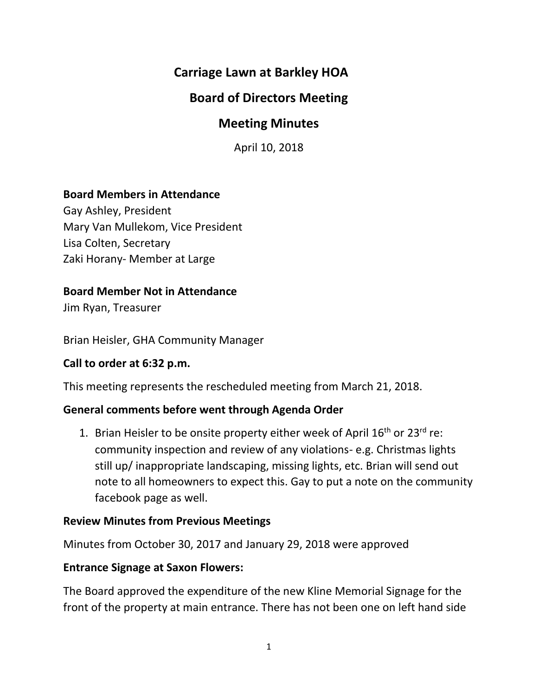# **Carriage Lawn at Barkley HOA**

# **Board of Directors Meeting**

## **Meeting Minutes**

April 10, 2018

### **Board Members in Attendance**

Gay Ashley, President Mary Van Mullekom, Vice President Lisa Colten, Secretary Zaki Horany- Member at Large

### **Board Member Not in Attendance**

Jim Ryan, Treasurer

Brian Heisler, GHA Community Manager

#### **Call to order at 6:32 p.m.**

This meeting represents the rescheduled meeting from March 21, 2018.

#### **General comments before went through Agenda Order**

1. Brian Heisler to be onsite property either week of April  $16<sup>th</sup>$  or 23<sup>rd</sup> re: community inspection and review of any violations- e.g. Christmas lights still up/ inappropriate landscaping, missing lights, etc. Brian will send out note to all homeowners to expect this. Gay to put a note on the community facebook page as well.

#### **Review Minutes from Previous Meetings**

Minutes from October 30, 2017 and January 29, 2018 were approved

#### **Entrance Signage at Saxon Flowers:**

The Board approved the expenditure of the new Kline Memorial Signage for the front of the property at main entrance. There has not been one on left hand side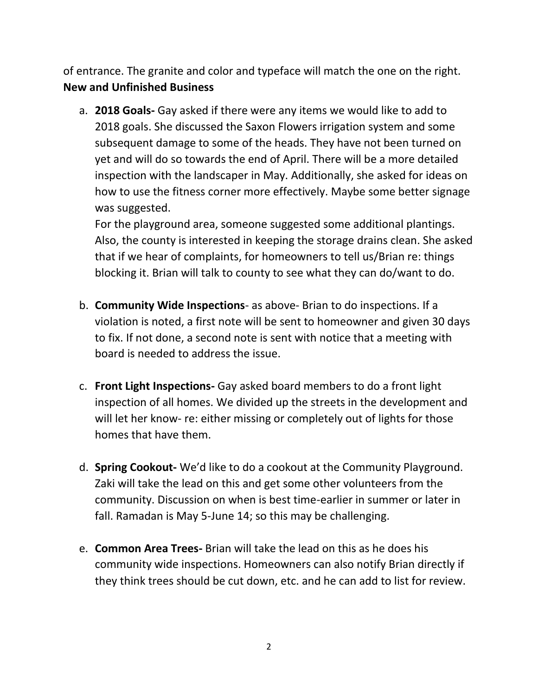of entrance. The granite and color and typeface will match the one on the right. **New and Unfinished Business**

a. **2018 Goals-** Gay asked if there were any items we would like to add to 2018 goals. She discussed the Saxon Flowers irrigation system and some subsequent damage to some of the heads. They have not been turned on yet and will do so towards the end of April. There will be a more detailed inspection with the landscaper in May. Additionally, she asked for ideas on how to use the fitness corner more effectively. Maybe some better signage was suggested.

For the playground area, someone suggested some additional plantings. Also, the county is interested in keeping the storage drains clean. She asked that if we hear of complaints, for homeowners to tell us/Brian re: things blocking it. Brian will talk to county to see what they can do/want to do.

- b. **Community Wide Inspections** as above- Brian to do inspections. If a violation is noted, a first note will be sent to homeowner and given 30 days to fix. If not done, a second note is sent with notice that a meeting with board is needed to address the issue.
- c. **Front Light Inspections-** Gay asked board members to do a front light inspection of all homes. We divided up the streets in the development and will let her know- re: either missing or completely out of lights for those homes that have them.
- d. **Spring Cookout-** We'd like to do a cookout at the Community Playground. Zaki will take the lead on this and get some other volunteers from the community. Discussion on when is best time-earlier in summer or later in fall. Ramadan is May 5-June 14; so this may be challenging.
- e. **Common Area Trees-** Brian will take the lead on this as he does his community wide inspections. Homeowners can also notify Brian directly if they think trees should be cut down, etc. and he can add to list for review.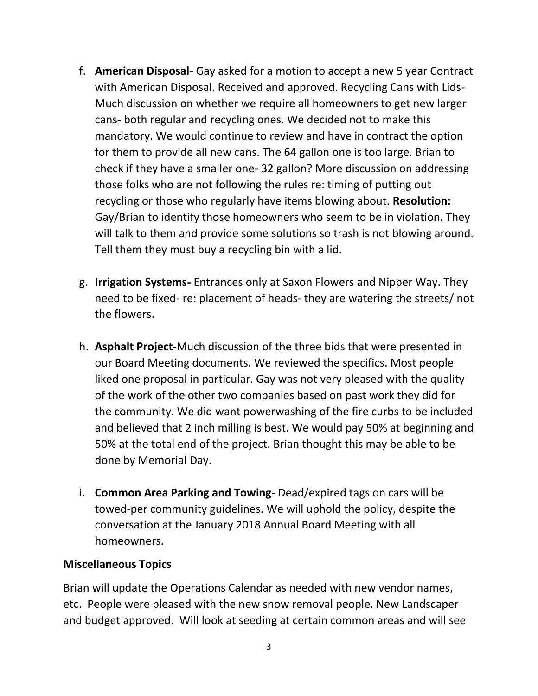- f. **American Disposal-** Gay asked for a motion to accept a new 5 year Contract with American Disposal. Received and approved. Recycling Cans with Lids-Much discussion on whether we require all homeowners to get new larger cans- both regular and recycling ones. We decided not to make this mandatory. We would continue to review and have in contract the option for them to provide all new cans. The 64 gallon one is too large. Brian to check if they have a smaller one- 32 gallon? More discussion on addressing those folks who are not following the rules re: timing of putting out recycling or those who regularly have items blowing about. **Resolution:** Gay/Brian to identify those homeowners who seem to be in violation. They will talk to them and provide some solutions so trash is not blowing around. Tell them they must buy a recycling bin with a lid.
- g. **Irrigation Systems-** Entrances only at Saxon Flowers and Nipper Way. They need to be fixed- re: placement of heads- they are watering the streets/ not the flowers.
- h. **Asphalt Project-**Much discussion of the three bids that were presented in our Board Meeting documents. We reviewed the specifics. Most people liked one proposal in particular. Gay was not very pleased with the quality of the work of the other two companies based on past work they did for the community. We did want powerwashing of the fire curbs to be included and believed that 2 inch milling is best. We would pay 50% at beginning and 50% at the total end of the project. Brian thought this may be able to be done by Memorial Day.
- i. **Common Area Parking and Towing-** Dead/expired tags on cars will be towed-per community guidelines. We will uphold the policy, despite the conversation at the January 2018 Annual Board Meeting with all homeowners.

### **Miscellaneous Topics**

Brian will update the Operations Calendar as needed with new vendor names, etc. People were pleased with the new snow removal people. New Landscaper and budget approved. Will look at seeding at certain common areas and will see